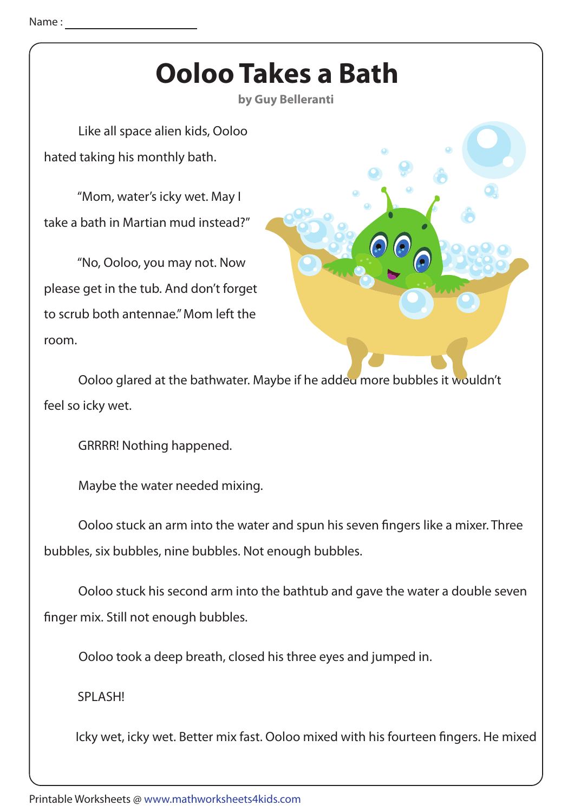## Name :

## **Ooloo Takes a Bath**

**by Guy Belleranti**

 Like all space alien kids, Ooloo hated taking his monthly bath.

 "Mom, water's icky wet. May I take a bath in Martian mud instead?"

 "No, Ooloo, you may not. Now please get in the tub. And don't forget to scrub both antennae." Mom left the room.



Ooloo glared at the bathwater. Maybe if he added more bubbles it wouldn't feel so icky wet.

GRRRR! Nothing happened.

Maybe the water needed mixing.

Ooloo stuck an arm into the water and spun his seven fingers like a mixer. Three bubbles, six bubbles, nine bubbles. Not enough bubbles.

 Ooloo stuck his second arm into the bathtub and gave the water a double seven finger mix. Still not enough bubbles.

Ooloo took a deep breath, closed his three eyes and jumped in.

SPLASH!

Icky wet, icky wet. Better mix fast. Ooloo mixed with his fourteen fingers. He mixed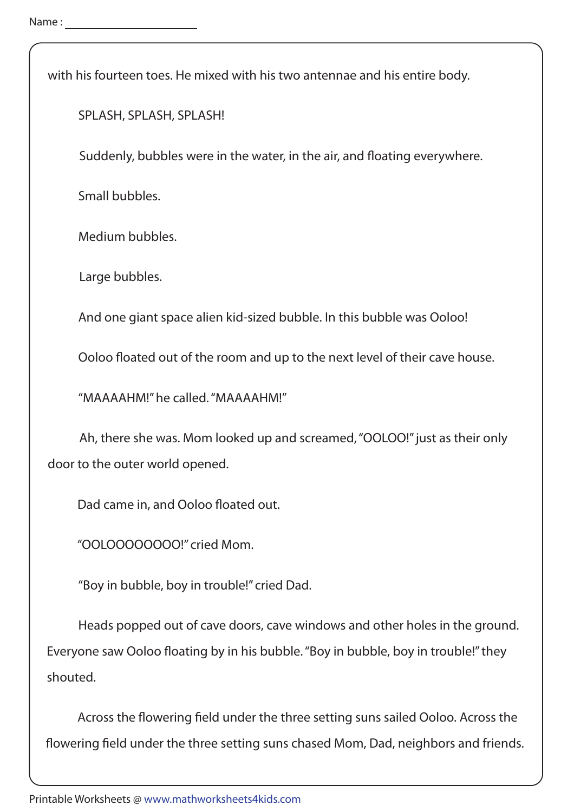with his fourteen toes. He mixed with his two antennae and his entire body.

SPLASH, SPLASH, SPLASH!

Suddenly, bubbles were in the water, in the air, and floating everywhere.

Small bubbles.

Medium bubbles.

Large bubbles.

And one giant space alien kid-sized bubble. In this bubble was Ooloo!

Ooloo floated out of the room and up to the next level of their cave house.

"MAAAAHM!" he called. "MAAAAHM!"

 Ah, there she was. Mom looked up and screamed, "OOLOO!" just as their only door to the outer world opened.

Dad came in, and Ooloo floated out.

"OOLOOOOOOOO!" cried Mom.

"Boy in bubble, boy in trouble!" cried Dad.

 Heads popped out of cave doors, cave windows and other holes in the ground. Everyone saw Ooloo floating by in his bubble. "Boy in bubble, boy in trouble!" they shouted.

Across the flowering field under the three setting suns sailed Ooloo. Across the flowering field under the three setting suns chased Mom, Dad, neighbors and friends.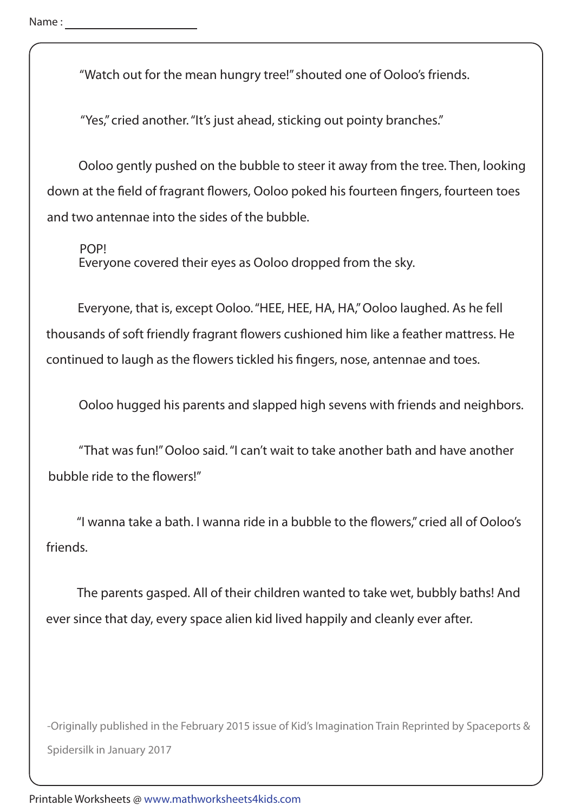"Watch out for the mean hungry tree!" shouted one of Ooloo's friends.

"Yes," cried another. "It's just ahead, sticking out pointy branches."

 Ooloo gently pushed on the bubble to steer it away from the tree. Then, looking down at the field of fragrant flowers, Ooloo poked his fourteen fingers, fourteen toes and two antennae into the sides of the bubble.

POP!

Everyone covered their eyes as Ooloo dropped from the sky.

 Everyone, that is, except Ooloo. "HEE, HEE, HA, HA," Ooloo laughed. As he fell thousands of soft friendly fragrant flowers cushioned him like a feather mattress. He continued to laugh as the flowers tickled his fingers, nose, antennae and toes.

Ooloo hugged his parents and slapped high sevens with friends and neighbors.

 "That was fun!" Ooloo said. "I can't wait to take another bath and have another bubble ride to the flowers!"

"I wanna take a bath. I wanna ride in a bubble to the flowers," cried all of Ooloo's friends.

 The parents gasped. All of their children wanted to take wet, bubbly baths! And ever since that day, every space alien kid lived happily and cleanly ever after.

-Originally published in the February 2015 issue of Kid's Imagination Train Reprinted by Spaceports & Spidersilk in January 2017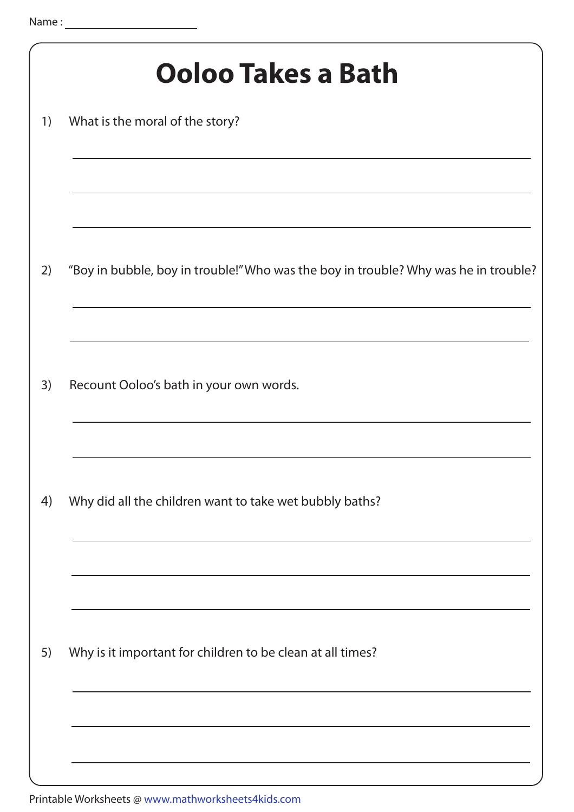|    | Ooloo Takes a Bath                                                                  |
|----|-------------------------------------------------------------------------------------|
| 1) | What is the moral of the story?                                                     |
|    |                                                                                     |
| 2) | "Boy in bubble, boy in trouble!" Who was the boy in trouble? Why was he in trouble? |
| 3) | Recount Ooloo's bath in your own words.                                             |
| 4) | Why did all the children want to take wet bubbly baths?                             |
| 5) | Why is it important for children to be clean at all times?                          |
|    |                                                                                     |

Printable Worksheets @ www.mathworksheets4kids.com